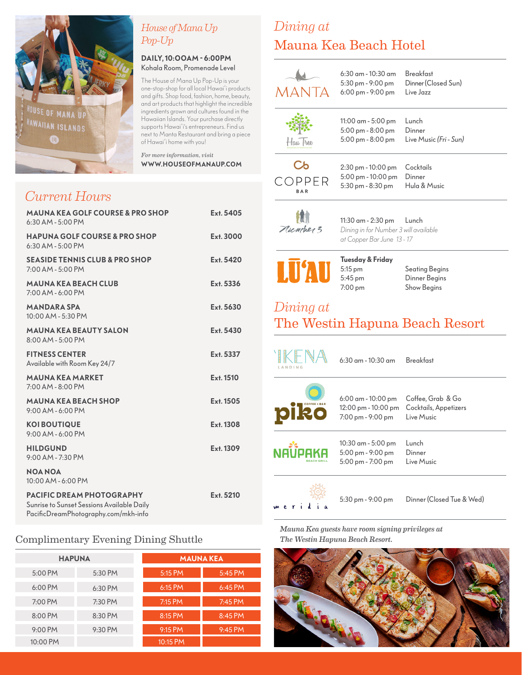

### *House of Mana Up Pop-Up*

#### **DAILY, 10:OOAM - 6:00PM** Kohala Room, Promenade Level

The House of Mana Up Pop-Up is your one-stop-shop for all local Hawai'i products and gifts. Shop food, fashion, home, beauty, and art products that highlight the incredible ingredients grown and cultures found in the Hawaiian Islands. Your purchase directly supports Hawai'i's entrepreneurs. Find us next to Manta Restaurant and bring a piece of Hawai'i home with you!

*For more information, visit* **WWW.HOUSEOFMANAUP.COM**

## *Current Hours*

| <b>MAUNA KEA GOLF COURSE &amp; PRO SHOP</b><br>$6:30$ AM - $5:00$ PM                                            | Ext. 5405 |
|-----------------------------------------------------------------------------------------------------------------|-----------|
| <b>HAPUNA GOLF COURSE &amp; PRO SHOP</b><br>$6:30$ AM - $5:00$ PM                                               | Ext. 3000 |
| <b>SEASIDE TENNIS CLUB &amp; PRO SHOP</b><br>$7:00$ AM - $5:00$ PM                                              | Ext. 5420 |
| <b>MAUNA KEA BEACH CLUB</b><br>$7:00$ AM - 6:00 PM                                                              | Ext. 5336 |
| <b>MANDARA SPA</b><br>$10:00$ AM - 5:30 PM                                                                      | Ext. 5630 |
| <b>MAUNA KEA BEAUTY SALON</b><br>$8:00$ AM - 5:00 PM                                                            | Ext. 5430 |
| <b>FITNESS CENTER</b><br>Available with Room Key 24/7                                                           | Ext. 5337 |
| <b>MAUNA KEA MARKET</b><br>$7:00$ AM - $8:00$ PM                                                                | Ext. 1510 |
| <b>MAUNA KEA BEACH SHOP</b><br>$9:00$ AM - 6:00 PM                                                              | Ext. 1505 |
| <b>KOI BOUTIQUE</b><br>$9:00$ AM - 6:00 PM                                                                      | Ext. 1308 |
| <b>HILDGUND</b><br>9:00 AM - 7:30 PM                                                                            | Ext. 1309 |
| <b>NOA NOA</b><br>10:00 AM - 6:00 PM                                                                            |           |
| PACIFIC DREAM PHOTOGRAPHY<br>Sunrise to Sunset Sessions Available Daily<br>PacificDreamPhotography.com/mkh-info | Ext. 5210 |

### Complimentary Evening Dining Shuttle

| <b>HAPUNA</b> |         | <b>MAUNA KEA</b> |            |  |
|---------------|---------|------------------|------------|--|
| 5:00 PM       | 5:30 PM | 5:15 PM          | 5:45 PM    |  |
| $6:00$ PM     | 6:30 PM | 6:15 PM          | $6:45$ PM. |  |
| 7:00 PM       | 7:30 PM | 7:15 PM          | $7:45$ PM  |  |
| 8:00 PM       | 8:30 PM | 8:15 PM          | $8:45$ PM  |  |
| 9:00 PM       | 9:30 PM | $9:15$ PM        | $9:45$ PM  |  |
| 10:00 PM      |         | 10:15 PM         |            |  |

## *Dining at* Mauna Kea Beach Hotel

| <b>MANTA</b>        | 6:30 am - 10:30 am<br>5:30 pm - 9:00 pm<br>6:00 pm - 9:00 pm                              | <b>Breakfast</b><br>Dinner (Closed Sun)<br>Live Jazz     |
|---------------------|-------------------------------------------------------------------------------------------|----------------------------------------------------------|
| Haw hee             | 11:00 am - 5:00 pm<br>5:00 pm - 8:00 pm<br>5:00 pm - 8:00 pm                              | Lunch<br>Dinner<br>Live Music (Fri - Sun)                |
| Cb<br>COPPFR<br>BAR | 2:30 pm - 10:00 pm<br>5:00 pm - 10:00 pm<br>5:30 pm - 8:30 pm                             | Cocktails<br>Dinner<br>Hula & Music                      |
| Number 3            | 11:30 am - 2:30 pm<br>Dining in for Number 3 will available<br>at Copper Bar June 13 - 17 | Lunch                                                    |
| <b>LU'AU</b>        | Tuesday & Friday<br>5:15 pm<br>5:45 pm<br>7:00 pm                                         | Seating Begins<br>Dinner Begins<br><b>Show Begins</b>    |
| Dining at           |                                                                                           | The Westin Hapuna Beach Resort                           |
| LANDING             | 6:30 am - 10:30 am                                                                        | <b>Breakfast</b>                                         |
|                     | 6:00 am - 10:00 pm<br>12:00 pm - 10:00 pm<br>7:00 pm - 9:00 pm                            | Coffee, Grab & Go<br>Cocktails, Appetizers<br>Live Music |
|                     | 10:30 am - 5:00 pm<br>5:00 pm - 9:00 pm<br>5:00 pm - 7:00 pm                              | Lunch<br>Dinner<br>Live Music                            |
|                     | 5:30 pm - 9:00 pm                                                                         | Dinner (Closed Tue & Wed)                                |

*Mauna Kea guests have room signing privileges at The Westin Hapuna Beach Resort.*